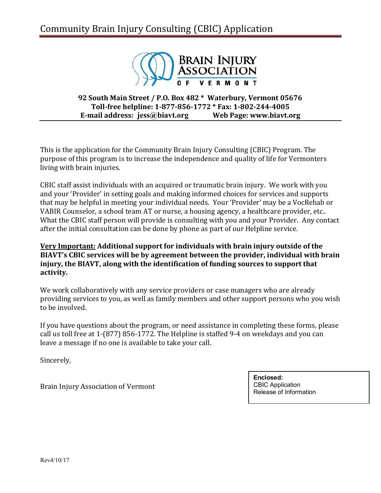### Community Brain Injury Consulting (CBIC) Application



### **92 South Main Street / P.O. Box 482 \* Waterbury, Vermont 05676 Toll-free helpline: 1-877-856-1772 \* Fax: 1-802-244-4005 E-mail address: jess@biavt.org** Web Page: [www.biavt.org](http://www.biavt.org/)

This is the application for the Community Brain Injury Consulting (CBIC) Program. The purpose of this program is to increase the independence and quality of life for Vermonters living with brain injuries.

CBIC staff assist individuals with an acquired or traumatic brain injury. We work with you and your 'Provider' in setting goals and making informed choices for services and supports that may be helpful in meeting your individual needs. Your 'Provider' may be a VocRehab or VABIR Counselor, a school team AT or nurse, a housing agency, a healthcare provider, etc.. What the CBIC staff person will provide is consulting with you and your Provider. Any contact after the initial consultation can be done by phone as part of our Helpline service.

### **Very Important: Additional support for individuals with brain injury outside of the BIAVT's CBIC services will be by agreement between the provider, individual with brain injury, the BIAVT, along with the identification of funding sources to support that activity.**

We work collaboratively with any service providers or case managers who are already providing services to you, as well as family members and other support persons who you wish to be involved.

If you have questions about the program, or need assistance in completing these forms, please call us toll free at 1-(877) 856-1772. The Helpline is staffed 9-4 on weekdays and you can leave a message if no one is available to take your call.

Sincerely,

Brain Injury Association of Vermont

**Enclosed:**  CBIC Application Release of Information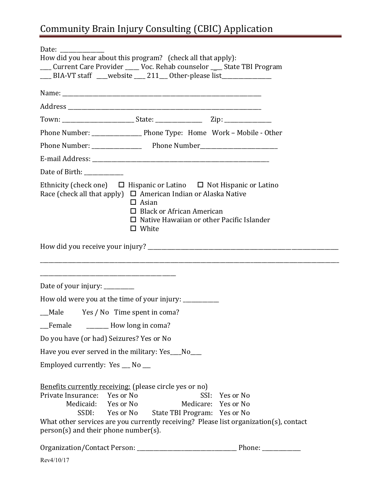# Community Brain Injury Consulting (CBIC) Application

| How did you hear about this program? (check all that apply):<br>__ Current Care Provider ____ Voc. Rehab counselor ___ State TBI Program<br>___ BIA-VT staff ___website ___ 211__ Other-please list ______________                                                           |                                                |                                                                                                                           |  |  |  |
|------------------------------------------------------------------------------------------------------------------------------------------------------------------------------------------------------------------------------------------------------------------------------|------------------------------------------------|---------------------------------------------------------------------------------------------------------------------------|--|--|--|
|                                                                                                                                                                                                                                                                              |                                                |                                                                                                                           |  |  |  |
|                                                                                                                                                                                                                                                                              |                                                |                                                                                                                           |  |  |  |
|                                                                                                                                                                                                                                                                              |                                                |                                                                                                                           |  |  |  |
|                                                                                                                                                                                                                                                                              |                                                |                                                                                                                           |  |  |  |
|                                                                                                                                                                                                                                                                              |                                                |                                                                                                                           |  |  |  |
|                                                                                                                                                                                                                                                                              |                                                |                                                                                                                           |  |  |  |
| Date of Birth: ____________                                                                                                                                                                                                                                                  |                                                |                                                                                                                           |  |  |  |
| Ethnicity (check one) $\Box$ Hispanic or Latino $\Box$ Not Hispanic or Latino<br>Race (check all that apply) $\Box$ American Indian or Alaska Native<br>$\Box$ Asian<br>$\Box$ Black or African American<br>$\Box$ Native Hawaiian or other Pacific Islander<br>$\Box$ White |                                                |                                                                                                                           |  |  |  |
|                                                                                                                                                                                                                                                                              |                                                |                                                                                                                           |  |  |  |
| Date of your injury: _________                                                                                                                                                                                                                                               |                                                |                                                                                                                           |  |  |  |
| How old were you at the time of your injury: __________                                                                                                                                                                                                                      |                                                |                                                                                                                           |  |  |  |
| Male Yes / No Time spent in coma?                                                                                                                                                                                                                                            |                                                |                                                                                                                           |  |  |  |
| Female _________ How long in coma?                                                                                                                                                                                                                                           |                                                |                                                                                                                           |  |  |  |
| Do you have (or had) Seizures? Yes or No                                                                                                                                                                                                                                     |                                                |                                                                                                                           |  |  |  |
| Have you ever served in the military: Yes__No__                                                                                                                                                                                                                              |                                                |                                                                                                                           |  |  |  |
| Employed currently: Yes __ No __                                                                                                                                                                                                                                             |                                                |                                                                                                                           |  |  |  |
| Benefits currently receiving: (please circle yes or no)<br>Private Insurance:<br>Yes or No<br>Medicaid: Yes or No<br>SSDI:<br>person(s) and their phone number(s).                                                                                                           | SSI:<br>Yes or No State TBI Program: Yes or No | Yes or No<br>Medicare: Yes or No<br>What other services are you currently receiving? Please list organization(s), contact |  |  |  |
|                                                                                                                                                                                                                                                                              |                                                |                                                                                                                           |  |  |  |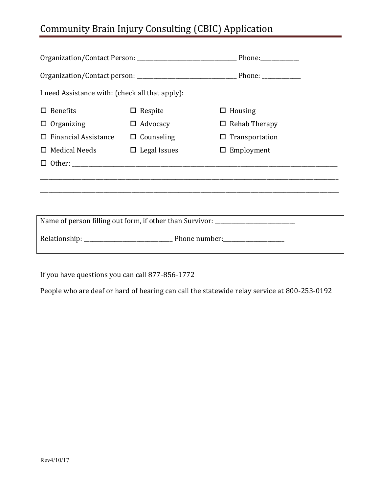## Community Brain Injury Consulting (CBIC) Application

| I need Assistance with: (check all that apply):                                  |                             |                       |  |  |
|----------------------------------------------------------------------------------|-----------------------------|-----------------------|--|--|
| <b>Benefits</b>                                                                  | $\Box$ Respite              | $\Box$ Housing        |  |  |
| $\Box$ Organizing                                                                | $\Box$ Advocacy             | $\Box$ Rehab Therapy  |  |  |
| <b>Financial Assistance</b>                                                      | $\Box$ Counseling           | $\Box$ Transportation |  |  |
| $\Box$ Medical Needs                                                             | $\Box$ Legal Issues         | $\Box$ Employment     |  |  |
|                                                                                  |                             |                       |  |  |
|                                                                                  |                             |                       |  |  |
|                                                                                  |                             |                       |  |  |
|                                                                                  |                             |                       |  |  |
| Name of person filling out form, if other than Survivor: _______________________ |                             |                       |  |  |
|                                                                                  | Relationship: Phone number: |                       |  |  |

If you have questions you can call 877-856-1772

People who are deaf or hard of hearing can call the statewide relay service at 800-253-0192